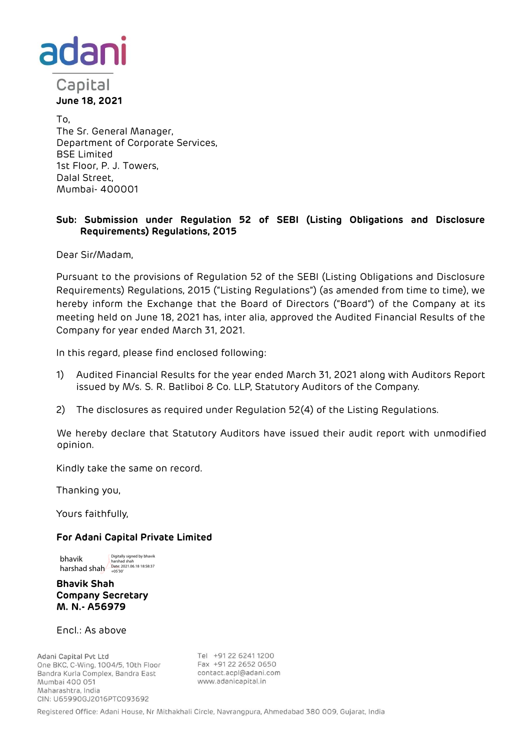

**June 18, 2021**

To, The Sr. General Manager, Department of Corporate Services, BSE Limited 1st Floor, P. J. Towers, Dalal Street, Mumbai- 400001

# **Sub: Submission under Regulation 52 of SEBI (Listing Obligations and Disclosure Requirements) Regulations, 2015**

Dear Sir/Madam,

Pursuant to the provisions of Regulation 52 of the SEBI (Listing Obligations and Disclosure Requirements) Regulations, 2015 ("Listing Regulations") (as amended from time to time), we hereby inform the Exchange that the Board of Directors ("Board") of the Company at its meeting held on June 18, 2021 has, inter alia, approved the Audited Financial Results of the Company for year ended March 31, 2021.

In this regard, please find enclosed following:

- 1) Audited Financial Results for the year ended March 31, 2021 along with Auditors Report issued by M/s. S. R. Batliboi & Co. LLP, Statutory Auditors of the Company.
- 2) The disclosures as required under Regulation 52(4) of the Listing Regulations.

We hereby declare that Statutory Auditors have issued their audit report with unmodified opinion.

Kindly take the same on record.

Thanking you,

Yours faithfully,

# **For Adani Capital Private Limited**

bhavik harshad shah  $\frac{\text{Date: } 2021.06.18}{+05!30}$ Digitally signed by bhavik narshad s

**Bhavik Shah Company Secretary M. N.- A56979**

Encl.: As above

Adani Capital Pvt Ltd One BKC, C-Wing, 1004/5, 10th Floor Bandra Kurla Complex, Bandra East Mumbai 400 051 Maharashtra, India CIN: U65990GJ2016PTC093692

Tel +91 22 6241 1200 Fax +91 22 2652 0650 contact.acpl@adani.com www.adanicapital.in

Registered Office: Adani House, Nr Mithakhali Circle, Navrangpura, Ahmedabad 380 009, Gujarat, India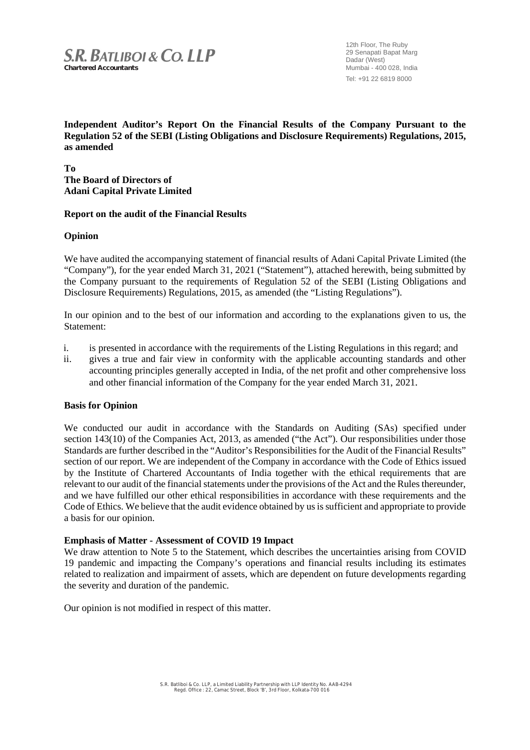

12th Floor, The Ruby 29 Senapati Bapat Marg Dadar (West) Mumbai - 400 028, India Tel: +91 22 6819 8000

**Independent Auditor's Report On the Financial Results of the Company Pursuant to the Regulation 52 of the SEBI (Listing Obligations and Disclosure Requirements) Regulations, 2015, as amended**

## **To The Board of Directors of Adani Capital Private Limited**

## **Report on the audit of the Financial Results**

# **Opinion**

We have audited the accompanying statement of financial results of Adani Capital Private Limited (the "Company"), for the year ended March 31, 2021 ("Statement"), attached herewith, being submitted by the Company pursuant to the requirements of Regulation 52 of the SEBI (Listing Obligations and Disclosure Requirements) Regulations, 2015, as amended (the "Listing Regulations").

In our opinion and to the best of our information and according to the explanations given to us, the Statement:

- i. is presented in accordance with the requirements of the Listing Regulations in this regard; and
- ii. gives a true and fair view in conformity with the applicable accounting standards and other accounting principles generally accepted in India, of the net profit and other comprehensive loss and other financial information of the Company for the year ended March 31, 2021.

# **Basis for Opinion**

We conducted our audit in accordance with the Standards on Auditing (SAs) specified under section 143(10) of the Companies Act, 2013, as amended ("the Act"). Our responsibilities under those Standards are further described in the "Auditor's Responsibilities for the Audit of the Financial Results" section of our report. We are independent of the Company in accordance with the Code of Ethics issued by the Institute of Chartered Accountants of India together with the ethical requirements that are relevant to our audit of the financial statements under the provisions of the Act and the Rules thereunder, and we have fulfilled our other ethical responsibilities in accordance with these requirements and the Code of Ethics. We believe that the audit evidence obtained by us is sufficient and appropriate to provide a basis for our opinion.

# **Emphasis of Matter - Assessment of COVID 19 Impact**

We draw attention to Note 5 to the Statement, which describes the uncertainties arising from COVID 19 pandemic and impacting the Company's operations and financial results including its estimates related to realization and impairment of assets, which are dependent on future developments regarding the severity and duration of the pandemic.

Our opinion is not modified in respect of this matter.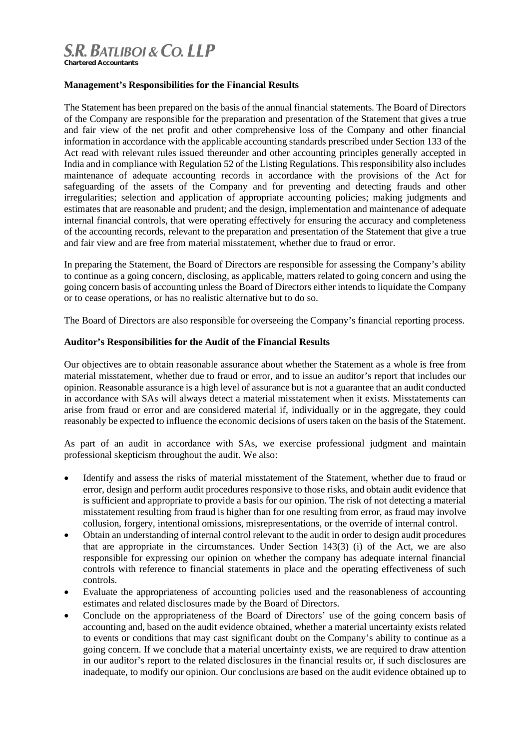# **S.R. BATLIBOI & CO. LLP**

**Chartered Accountants**

## **Management's Responsibilities for the Financial Results**

The Statement has been prepared on the basis of the annual financial statements. The Board of Directors of the Company are responsible for the preparation and presentation of the Statement that gives a true and fair view of the net profit and other comprehensive loss of the Company and other financial information in accordance with the applicable accounting standards prescribed under Section 133 of the Act read with relevant rules issued thereunder and other accounting principles generally accepted in India and in compliance with Regulation 52 of the Listing Regulations. This responsibility also includes maintenance of adequate accounting records in accordance with the provisions of the Act for safeguarding of the assets of the Company and for preventing and detecting frauds and other irregularities; selection and application of appropriate accounting policies; making judgments and estimates that are reasonable and prudent; and the design, implementation and maintenance of adequate internal financial controls, that were operating effectively for ensuring the accuracy and completeness of the accounting records, relevant to the preparation and presentation of the Statement that give a true and fair view and are free from material misstatement, whether due to fraud or error.

In preparing the Statement, the Board of Directors are responsible for assessing the Company's ability to continue as a going concern, disclosing, as applicable, matters related to going concern and using the going concern basis of accounting unless the Board of Directors either intends to liquidate the Company or to cease operations, or has no realistic alternative but to do so.

The Board of Directors are also responsible for overseeing the Company's financial reporting process.

## **Auditor's Responsibilities for the Audit of the Financial Results**

Our objectives are to obtain reasonable assurance about whether the Statement as a whole is free from material misstatement, whether due to fraud or error, and to issue an auditor's report that includes our opinion. Reasonable assurance is a high level of assurance but is not a guarantee that an audit conducted in accordance with SAs will always detect a material misstatement when it exists. Misstatements can arise from fraud or error and are considered material if, individually or in the aggregate, they could reasonably be expected to influence the economic decisions of users taken on the basis of the Statement.

As part of an audit in accordance with SAs, we exercise professional judgment and maintain professional skepticism throughout the audit. We also:

- Identify and assess the risks of material misstatement of the Statement, whether due to fraud or error, design and perform audit procedures responsive to those risks, and obtain audit evidence that is sufficient and appropriate to provide a basis for our opinion. The risk of not detecting a material misstatement resulting from fraud is higher than for one resulting from error, as fraud may involve collusion, forgery, intentional omissions, misrepresentations, or the override of internal control.
- Obtain an understanding of internal control relevant to the audit in order to design audit procedures that are appropriate in the circumstances. Under Section 143(3) (i) of the Act, we are also responsible for expressing our opinion on whether the company has adequate internal financial controls with reference to financial statements in place and the operating effectiveness of such controls.
- Evaluate the appropriateness of accounting policies used and the reasonableness of accounting estimates and related disclosures made by the Board of Directors.
- Conclude on the appropriateness of the Board of Directors' use of the going concern basis of accounting and, based on the audit evidence obtained, whether a material uncertainty exists related to events or conditions that may cast significant doubt on the Company's ability to continue as a going concern. If we conclude that a material uncertainty exists, we are required to draw attention in our auditor's report to the related disclosures in the financial results or, if such disclosures are inadequate, to modify our opinion. Our conclusions are based on the audit evidence obtained up to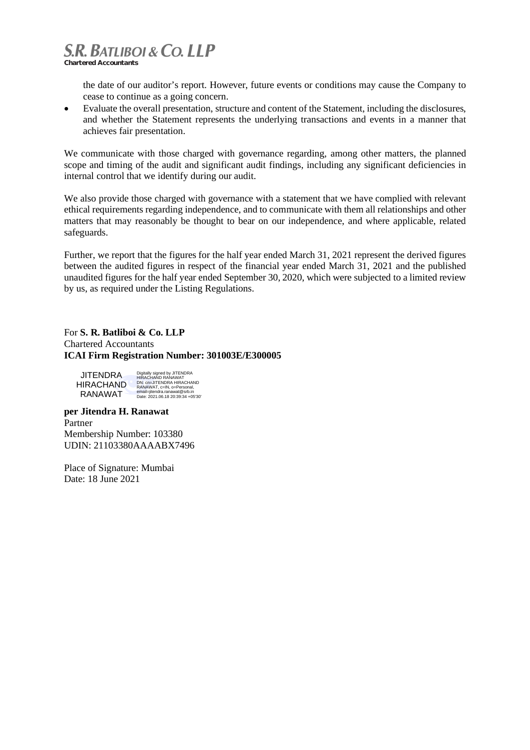# **S.R. BATLIBOI & CO. LLP**

**Chartered Accountants**

the date of our auditor's report. However, future events or conditions may cause the Company to cease to continue as a going concern.

 Evaluate the overall presentation, structure and content of the Statement, including the disclosures, and whether the Statement represents the underlying transactions and events in a manner that achieves fair presentation.

We communicate with those charged with governance regarding, among other matters, the planned scope and timing of the audit and significant audit findings, including any significant deficiencies in internal control that we identify during our audit.

We also provide those charged with governance with a statement that we have complied with relevant ethical requirements regarding independence, and to communicate with them all relationships and other matters that may reasonably be thought to bear on our independence, and where applicable, related safeguards.

Further, we report that the figures for the half year ended March 31, 2021 represent the derived figures between the audited figures in respect of the financial year ended March 31, 2021 and the published unaudited figures for the half year ended September 30, 2020, which were subjected to a limited review by us, as required under the Listing Regulations.

# For **S. R. Batliboi & Co. LLP** Chartered Accountants **ICAI Firm Registration Number: 301003E/E300005**



Digitally signed by JITENDRA<br>HIRACHAND RANAWAT<br>DN: cn=JITENDRA HIRACHAND<br>RANAWAT, c=IN, o=Personal,<br>email=jitendra.ranawat@srb.in email=jitendra.ranawat@srb.in<br>Date: 2021.06.18 20:39:34 +05'30'

**per Jitendra H. Ranawat** Partner Membership Number: 103380 UDIN: 21103380AAAABX7496

Place of Signature: Mumbai Date: 18 June 2021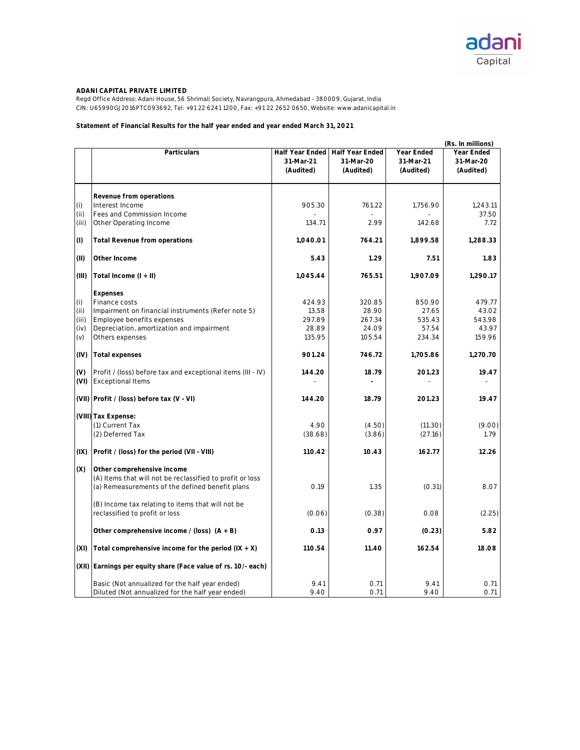

Regd Office Address: Adani House, 56 Shrimali Society, Navrangpura, Ahmedabad - 380009, Gujarat, India CIN: U65990GJ2016PTC093692, Tel: +91 22 6241 1200, Fax: +91 22 2652 0650, Website: www.adanicapital.in

## **Statement of Financial Results for the half year ended and year ended March 31, 2021**

|       |                                                               |                        |                                                             |                                             | (Rs. In millions)                           |
|-------|---------------------------------------------------------------|------------------------|-------------------------------------------------------------|---------------------------------------------|---------------------------------------------|
|       | Particulars                                                   | 31-Mar-21<br>(Audited) | Half Year Ended   Half Year Ended<br>31-Mar-20<br>(Audited) | <b>Year Ended</b><br>31-Mar-21<br>(Audited) | <b>Year Ended</b><br>31-Mar-20<br>(Audited) |
|       | Revenue from operations                                       |                        |                                                             |                                             |                                             |
| (i)   | Interest Income                                               | 905.30                 | 761.22                                                      | 1,756.90                                    | 1,243.11                                    |
| (ii)  | Fees and Commission Income                                    |                        |                                                             |                                             | 37.50                                       |
| (iii) | Other Operating Income                                        | 134.71                 | 2.99                                                        | 142.68                                      | 7.72                                        |
| (1)   | <b>Total Revenue from operations</b>                          | 1,040.01               | 764.21                                                      | 1,899.58                                    | 1,288.33                                    |
| (II)  | Other Income                                                  | 5.43                   | 1.29                                                        | 7.51                                        | 1.83                                        |
| (III) | Total Income $(I + II)$                                       | 1,045.44               | 765.51                                                      | 1,907.09                                    | 1,290.17                                    |
|       | <b>Expenses</b>                                               |                        |                                                             |                                             |                                             |
| (i)   | Finance costs                                                 | 424.93                 | 320.85                                                      | 850.90                                      | 479.77                                      |
| (i)   | Impairment on financial instruments (Refer note 5)            | 13.58                  | 28.90                                                       | 27.65                                       | 43.02                                       |
| (iii) | Employee benefits expenses                                    | 297.89                 | 267.34                                                      | 535.43                                      | 543.98                                      |
| (iv)  | Depreciation, amortization and impairment                     | 28.89                  | 24.09                                                       | 57.54                                       | 43.97                                       |
| (v)   | Others expenses                                               | 135.95                 | 105.54                                                      | 234.34                                      | 159.96                                      |
| (IV)  | <b>Total expenses</b>                                         | 901.24                 | 746.72                                                      | 1,705.86                                    | 1,270.70                                    |
| (V)   | Profit / (loss) before tax and exceptional items (III - IV)   | 144.20                 | 18.79                                                       | 201.23                                      | 19.47                                       |
| (VI)  | <b>Exceptional Items</b>                                      |                        |                                                             |                                             |                                             |
|       | (VII) Profit / (loss) before tax (V - VI)                     | 144.20                 | 18.79                                                       | 201.23                                      | 19.47                                       |
|       | (VIII) Tax Expense:                                           |                        |                                                             |                                             |                                             |
|       | (1) Current Tax                                               | 4.90                   | (4.50)                                                      | (11.30)                                     | (9.00)                                      |
|       | (2) Deferred Tax                                              | (38.68)                | (3.86)                                                      | (27.16)                                     | 1.79                                        |
| (XI)  | Profit / (loss) for the period (VII - VIII)                   | 110.42                 | 10.43                                                       | 162.77                                      | 12.26                                       |
| (X)   | Other comprehensive income                                    |                        |                                                             |                                             |                                             |
|       | (A) Items that will not be reclassified to profit or loss     |                        |                                                             |                                             |                                             |
|       | (a) Remeasurements of the defined benefit plans               | 0.19                   | 1.35                                                        | (0.31)                                      | 8.07                                        |
|       | (B) Income tax relating to items that will not be             |                        |                                                             |                                             |                                             |
|       | reclassified to profit or loss                                | (0.06)                 | (0.38)                                                      | 0.08                                        | (2.25)                                      |
|       | Other comprehensive income / (loss) $(A + B)$                 | 0.13                   | 0.97                                                        | (0.23)                                      | 5.82                                        |
| (XI)  | Total comprehensive income for the period $(IX + X)$          | 110.54                 | 11.40                                                       | 162.54                                      | 18.08                                       |
|       | (XII) Earnings per equity share (Face value of rs. 10/- each) |                        |                                                             |                                             |                                             |
|       | Basic (Not annualized for the half year ended)                | 9.41                   | 0.71                                                        | 9.41                                        | 0.71                                        |
|       | Diluted (Not annualized for the half year ended)              | 9.40                   | 0.71                                                        | 9.40                                        | 0.71                                        |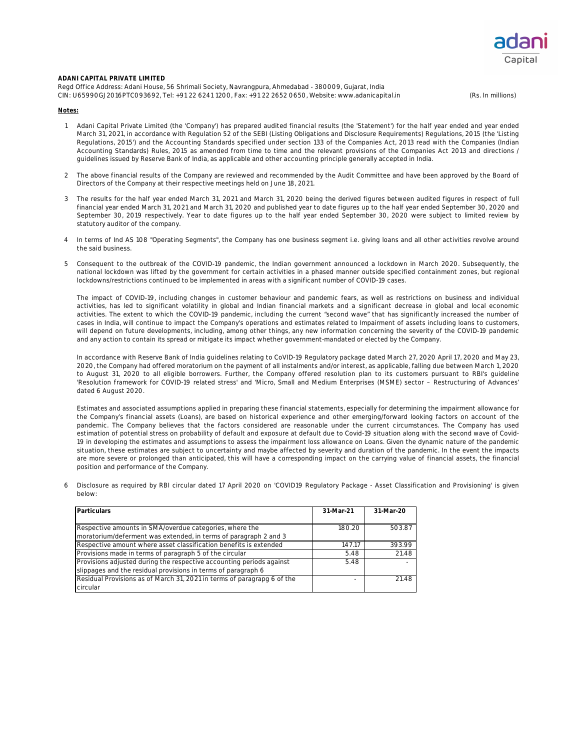

Regd Office Address: Adani House, 56 Shrimali Society, Navrangpura, Ahmedabad - 380009, Gujarat, India CIN: U65990GJ2016PTC093692, Tel: +91 22 6241 1200, Fax: +91 22 2652 0650, Website: www.adanicapital.in (Rs. In millions)

#### **Notes:**

- 1 Adani Capital Private Limited (the 'Company') has prepared audited financial results (the 'Statement') for the half year ended and year ended March 31, 2021, in accordance with Regulation 52 of the SEBI (Listing Obligations and Disclosure Requirements) Regulations, 2015 (the 'Listing Regulations, 2015') and the Accounting Standards specified under section 133 of the Companies Act, 2013 read with the Companies (Indian Accounting Standards) Rules, 2015 as amended from time to time and the relevant provisions of the Companies Act 2013 and directions / guidelines issued by Reserve Bank of India, as applicable and other accounting principle generally accepted in India.
- 2 The above financial results of the Company are reviewed and recommended by the Audit Committee and have been approved by the Board of Directors of the Company at their respective meetings held on June 18, 2021.
- 3 The results for the half year ended March 31, 2021 and March 31, 2020 being the derived figures between audited figures in respect of full financial year ended March 31, 2021 and March 31, 2020 and published year to date figures up to the half year ended September 30, 2020 and September 30, 2019 respectively. Year to date figures up to the half year ended September 30, 2020 were subject to limited review by statutory auditor of the company.
- 4 In terms of Ind AS 108 "Operating Segments", the Company has one business segment i.e. giving loans and all other activities revolve around the said business.
- 5 Consequent to the outbreak of the COVID-19 pandemic, the Indian government announced a lockdown in March 2020. Subsequently, the national lockdown was lifted by the government for certain activities in a phased manner outside specified containment zones, but regional lockdowns/restrictions continued to be implemented in areas with a significant number of COVID-19 cases.

The impact of COVID-19, including changes in customer behaviour and pandemic fears, as well as restrictions on business and individual activities, has led to significant volatility in global and Indian financial markets and a significant decrease in global and local economic activities. The extent to which the COVID-19 pandemic, including the current "second wave" that has significantly increased the number of cases in India, will continue to impact the Company's operations and estimates related to Impairment of assets including loans to customers, will depend on future developments, including, among other things, any new information concerning the severity of the COVID-19 pandemic and any action to contain its spread or mitigate its impact whether government-mandated or elected by the Company.

In accordance with Reserve Bank of India guidelines relating to CoVID-19 Regulatory package dated March 27, 2020 April 17, 2020 and May 23, 2020, the Company had offered moratorium on the payment of all instalments and/or interest, as applicable, falling due between March 1, 2020 to August 31, 2020 to all eligible borrowers. Further, the Company offered resolution plan to its customers pursuant to RBI's guideline 'Resolution framework for COVID-19 related stress' and 'Micro, Small and Medium Enterprises (MSME) sector – Restructuring of Advances' dated 6 August 2020.

Estimates and associated assumptions applied in preparing these financial statements, especially for determining the impairment allowance for the Company's financial assets (Loans), are based on historical experience and other emerging/forward looking factors on account of the pandemic. The Company believes that the factors considered are reasonable under the current circumstances. The Company has used estimation of potential stress on probability of default and exposure at default due to Covid-19 situation along with the second wave of Covid-19 in developing the estimates and assumptions to assess the impairment loss allowance on Loans. Given the dynamic nature of the pandemic situation, these estimates are subject to uncertainty and maybe affected by severity and duration of the pandemic. In the event the impacts are more severe or prolonged than anticipated, this will have a corresponding impact on the carrying value of financial assets, the financial position and performance of the Company.

6 Disclosure as required by RBI circular dated 17 April 2020 on 'COVID19 Regulatory Package - Asset Classification and Provisioning' is given below:

| Particulars                                                             | 31-Mar-21 | 31-Mar-20 |
|-------------------------------------------------------------------------|-----------|-----------|
|                                                                         |           |           |
| Respective amounts in SMA/overdue categories, where the                 | 180.20    | 503.87    |
| Imoratorium/deferment was extended, in terms of paragraph 2 and 3       |           |           |
| Respective amount where asset classification benefits is extended       | 147.17    | 393.99    |
| Provisions made in terms of paragraph 5 of the circular                 | 5.48      | 21.48     |
| Provisions adjusted during the respective accounting periods against    | 5.48      |           |
| slippages and the residual provisions in terms of paragraph 6           |           |           |
| Residual Provisions as of March 31, 2021 in terms of paragrapg 6 of the |           | 21.48     |
| circular                                                                |           |           |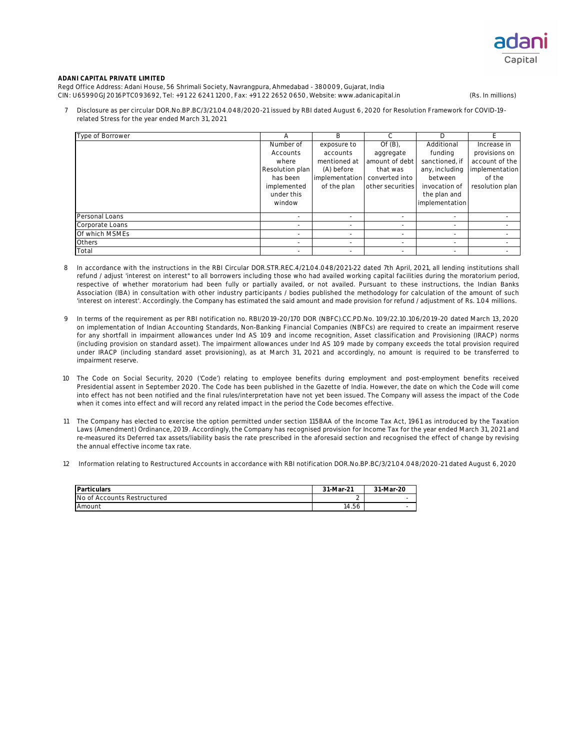

Regd Office Address: Adani House, 56 Shrimali Society, Navrangpura, Ahmedabad - 380009, Gujarat, India CIN: U65990GJ2016PTC093692, Tel: +91 22 6241 1200, Fax: +91 22 2652 0650, Website: www.adanicapital.in (Rs. In millions)

7 Disclosure as per circular DOR.No.BP.BC/3/21.04.048/2020-21 issued by RBI dated August 6, 2020 for Resolution Framework for COVID-19 related Stress for the year ended March 31, 2021

| Type of Borrower | А               | B                        |                          | D                        |                 |
|------------------|-----------------|--------------------------|--------------------------|--------------------------|-----------------|
|                  | Number of       | exposure to              | Of $(B)$ ,               | Additional               | Increase in     |
|                  | Accounts        | accounts                 | aggregate                | funding                  | provisions on   |
|                  | where           | mentioned at             | amount of debt           | sanctioned. if           | account of the  |
|                  | Resolution plan | (A) before               | that was                 | any, including           | implementation  |
|                  | has been        | implementation           | converted into           | between                  | of the          |
|                  | implemented     | of the plan              | other securities         | invocation of            | resolution plan |
|                  | under this      |                          |                          | the plan and             |                 |
|                  | window          |                          |                          | implementation           |                 |
| Personal Loans   |                 | $\overline{\phantom{a}}$ |                          | $\overline{\phantom{0}}$ |                 |
| Corporate Loans  |                 | $\overline{\phantom{a}}$ | -                        | $\overline{\phantom{0}}$ |                 |
| Of which MSMEs   |                 | $\overline{\phantom{a}}$ | $\overline{\phantom{a}}$ | $\overline{\phantom{a}}$ |                 |
| <b>Others</b>    | ۰.              | $\overline{\phantom{a}}$ | $\blacksquare$           | $\sim$                   |                 |
| Total            | ٠               | $\overline{\phantom{a}}$ | ٠                        | $\overline{\phantom{a}}$ |                 |

- 8 In accordance with the instructions in the RBI Circular DOR.STR.REC.4/21.04.048/2021-22 dated 7th April, 2021, all lending institutions shall refund / adjust 'interest on interest" to all borrowers including those who had availed working capital facilities during the moratorium period, respective of whether moratorium had been fully or partially availed, or not availed. Pursuant to these instructions, the Indian Banks Association (lBA) in consultation with other industry participants / bodies published the methodology for calculation of the amount of such 'interest on interest'. Accordingly. the Company has estimated the said amount and made provision for refund / adjustment of Rs. 1.04 millions.
- 9 In terms of the requirement as per RBI notification no. RBI/2019-20/170 DOR (NBFC).CC.PD.No. 109/22.10.106/2019-20 dated March 13, 2020 on implementation of Indian Accounting Standards, Non-Banking Financial Companies (NBFCs) are required to create an impairment reserve for any shortfall in impairment allowances under Ind AS 109 and income recognition, Asset classification and Provisioning (IRACP) norms (including provision on standard asset). The impairment allowances under Ind AS 109 made by company exceeds the total provision required under IRACP (including standard asset provisioning), as at March 31, 2021 and accordingly, no amount is required to be transferred to impairment reserve.
- 10 The Code on Social Security, 2020 ('Code') relating to employee benefits during employment and post-employment benefits received Presidential assent in September 2020. The Code has been published in the Gazette of India. However, the date on which the Code will come into effect has not been notified and the final rules/interpretation have not yet been issued. The Company will assess the impact of the Code when it comes into effect and will record any related impact in the period the Code becomes effective.
- 11 The Company has elected to exercise the option permitted under section 115BAA of the Income Tax Act, 1961 as introduced by the Taxation Laws (Amendment) Ordinance, 2019. Accordingly, the Company has recognised provision for Income Tax for the year ended March 31, 2021 and re-measured its Deferred tax assets/liability basis the rate prescribed in the aforesaid section and recognised the effect of change by revising the annual effective income tax rate.
- 12 Information relating to Restructured Accounts in accordance with RBI notification DOR.No.BP.BC/3/21.04.048/2020-21 dated August 6, 2020

| <b>Particulars</b>          | 31-Mar-21 | 31-Mar-20                |
|-----------------------------|-----------|--------------------------|
| No of Accounts Restructured | -         | $\overline{\phantom{a}}$ |
| <b>Amount</b>               | 14.56     | $\overline{\phantom{a}}$ |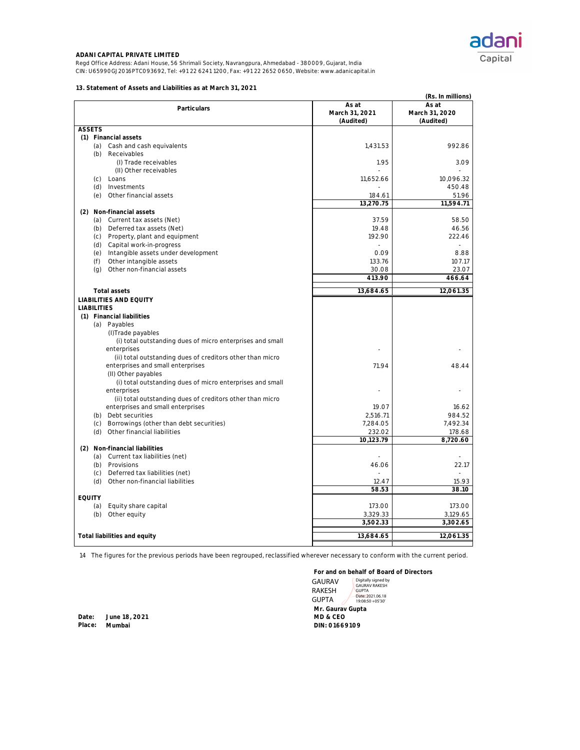

Regd Office Address: Adani House, 56 Shrimali Society, Navrangpura, Ahmedabad - 380009, Gujarat, India CIN: U65990GJ2016PTC093692, Tel: +91 22 6241 1200, Fax: +91 22 2652 0650, Website: www.adanicapital.in

## **13. Statement of Assets and Liabilities as at March 31, 2021**

| <b>Particulars</b><br>March 31, 2021<br>March 31, 2020<br>(Audited)<br>(Audited)<br><b>ASSETS</b><br>(1) Financial assets<br>(a) Cash and cash equivalents<br>1,431.53<br>992.86<br>(b) Receivables<br>(I) Trade receivables<br>1.95<br>3.09<br>(II) Other receivables<br>10,096.32<br>(c) Loans<br>11,652.66<br>Investments<br>450.48<br>(d)<br>Other financial assets<br>184.61<br>51.96<br>(e)<br>13,270.75<br>11,594.71<br>(2) Non-financial assets<br>37.59<br>58.50<br>(a) Current tax assets (Net)<br>(b) Deferred tax assets (Net)<br>19.48<br>46.56<br>192.90<br>(c) Property, plant and equipment<br>222.46<br>(d) Capital work-in-progress<br>(e) Intangible assets under development<br>0.09<br>8.88<br>Other intangible assets<br>(f)<br>133.76<br>107.17<br>(g) Other non-financial assets<br>30.08<br>23.07<br>413.90<br>466.64<br>13,684.65<br>12,061.35<br><b>Total assets</b><br><b>LIABILITIES AND EQUITY</b><br><b>LIABILITIES</b><br>(1) Financial liabilities<br>(a) Payables<br>(I) Trade payables<br>(i) total outstanding dues of micro enterprises and small<br>enterprises<br>(ii) total outstanding dues of creditors other than micro<br>enterprises and small enterprises<br>71.94<br>48.44<br>(II) Other payables<br>(i) total outstanding dues of micro enterprises and small<br>enterprises<br>(ii) total outstanding dues of creditors other than micro<br>enterprises and small enterprises<br>19.07<br>16.62<br>(b) Debt securities<br>2,516.71<br>984.52<br>Borrowings (other than debt securities)<br>7,284.05<br>7,492.34<br>(c)<br>Other financial liabilities<br>178.68<br>232.02<br>(d)<br>10,123.79<br>8,720.60<br>(2) Non-financial liabilities<br>(a) Current tax liabilities (net)<br>22.17<br>(b) Provisions<br>46.06<br>(c) Deferred tax liabilities (net)<br>Other non-financial liabilities<br>12.47<br>15.93<br>(d)<br>58.53<br>38.10<br><b>EQUITY</b><br>Equity share capital<br>173.00<br>173.00<br>(a)<br>Other equity<br>3,329.33<br>3,129.65<br>(b)<br>3,502.33<br>3,302.65<br>13,684.65<br>12,061.35<br><b>Total liabilities and equity</b> | (Rs. In millions) |       |       |  |  |  |
|------------------------------------------------------------------------------------------------------------------------------------------------------------------------------------------------------------------------------------------------------------------------------------------------------------------------------------------------------------------------------------------------------------------------------------------------------------------------------------------------------------------------------------------------------------------------------------------------------------------------------------------------------------------------------------------------------------------------------------------------------------------------------------------------------------------------------------------------------------------------------------------------------------------------------------------------------------------------------------------------------------------------------------------------------------------------------------------------------------------------------------------------------------------------------------------------------------------------------------------------------------------------------------------------------------------------------------------------------------------------------------------------------------------------------------------------------------------------------------------------------------------------------------------------------------------------------------------------------------------------------------------------------------------------------------------------------------------------------------------------------------------------------------------------------------------------------------------------------------------------------------------------------------------------------------------------------------------------------------------------------------------------------------------------------------------------------------------------------|-------------------|-------|-------|--|--|--|
|                                                                                                                                                                                                                                                                                                                                                                                                                                                                                                                                                                                                                                                                                                                                                                                                                                                                                                                                                                                                                                                                                                                                                                                                                                                                                                                                                                                                                                                                                                                                                                                                                                                                                                                                                                                                                                                                                                                                                                                                                                                                                                      |                   | As at | As at |  |  |  |
|                                                                                                                                                                                                                                                                                                                                                                                                                                                                                                                                                                                                                                                                                                                                                                                                                                                                                                                                                                                                                                                                                                                                                                                                                                                                                                                                                                                                                                                                                                                                                                                                                                                                                                                                                                                                                                                                                                                                                                                                                                                                                                      |                   |       |       |  |  |  |
|                                                                                                                                                                                                                                                                                                                                                                                                                                                                                                                                                                                                                                                                                                                                                                                                                                                                                                                                                                                                                                                                                                                                                                                                                                                                                                                                                                                                                                                                                                                                                                                                                                                                                                                                                                                                                                                                                                                                                                                                                                                                                                      |                   |       |       |  |  |  |
|                                                                                                                                                                                                                                                                                                                                                                                                                                                                                                                                                                                                                                                                                                                                                                                                                                                                                                                                                                                                                                                                                                                                                                                                                                                                                                                                                                                                                                                                                                                                                                                                                                                                                                                                                                                                                                                                                                                                                                                                                                                                                                      |                   |       |       |  |  |  |
|                                                                                                                                                                                                                                                                                                                                                                                                                                                                                                                                                                                                                                                                                                                                                                                                                                                                                                                                                                                                                                                                                                                                                                                                                                                                                                                                                                                                                                                                                                                                                                                                                                                                                                                                                                                                                                                                                                                                                                                                                                                                                                      |                   |       |       |  |  |  |
|                                                                                                                                                                                                                                                                                                                                                                                                                                                                                                                                                                                                                                                                                                                                                                                                                                                                                                                                                                                                                                                                                                                                                                                                                                                                                                                                                                                                                                                                                                                                                                                                                                                                                                                                                                                                                                                                                                                                                                                                                                                                                                      |                   |       |       |  |  |  |
|                                                                                                                                                                                                                                                                                                                                                                                                                                                                                                                                                                                                                                                                                                                                                                                                                                                                                                                                                                                                                                                                                                                                                                                                                                                                                                                                                                                                                                                                                                                                                                                                                                                                                                                                                                                                                                                                                                                                                                                                                                                                                                      |                   |       |       |  |  |  |
|                                                                                                                                                                                                                                                                                                                                                                                                                                                                                                                                                                                                                                                                                                                                                                                                                                                                                                                                                                                                                                                                                                                                                                                                                                                                                                                                                                                                                                                                                                                                                                                                                                                                                                                                                                                                                                                                                                                                                                                                                                                                                                      |                   |       |       |  |  |  |
|                                                                                                                                                                                                                                                                                                                                                                                                                                                                                                                                                                                                                                                                                                                                                                                                                                                                                                                                                                                                                                                                                                                                                                                                                                                                                                                                                                                                                                                                                                                                                                                                                                                                                                                                                                                                                                                                                                                                                                                                                                                                                                      |                   |       |       |  |  |  |
|                                                                                                                                                                                                                                                                                                                                                                                                                                                                                                                                                                                                                                                                                                                                                                                                                                                                                                                                                                                                                                                                                                                                                                                                                                                                                                                                                                                                                                                                                                                                                                                                                                                                                                                                                                                                                                                                                                                                                                                                                                                                                                      |                   |       |       |  |  |  |
|                                                                                                                                                                                                                                                                                                                                                                                                                                                                                                                                                                                                                                                                                                                                                                                                                                                                                                                                                                                                                                                                                                                                                                                                                                                                                                                                                                                                                                                                                                                                                                                                                                                                                                                                                                                                                                                                                                                                                                                                                                                                                                      |                   |       |       |  |  |  |
|                                                                                                                                                                                                                                                                                                                                                                                                                                                                                                                                                                                                                                                                                                                                                                                                                                                                                                                                                                                                                                                                                                                                                                                                                                                                                                                                                                                                                                                                                                                                                                                                                                                                                                                                                                                                                                                                                                                                                                                                                                                                                                      |                   |       |       |  |  |  |
|                                                                                                                                                                                                                                                                                                                                                                                                                                                                                                                                                                                                                                                                                                                                                                                                                                                                                                                                                                                                                                                                                                                                                                                                                                                                                                                                                                                                                                                                                                                                                                                                                                                                                                                                                                                                                                                                                                                                                                                                                                                                                                      |                   |       |       |  |  |  |
|                                                                                                                                                                                                                                                                                                                                                                                                                                                                                                                                                                                                                                                                                                                                                                                                                                                                                                                                                                                                                                                                                                                                                                                                                                                                                                                                                                                                                                                                                                                                                                                                                                                                                                                                                                                                                                                                                                                                                                                                                                                                                                      |                   |       |       |  |  |  |
|                                                                                                                                                                                                                                                                                                                                                                                                                                                                                                                                                                                                                                                                                                                                                                                                                                                                                                                                                                                                                                                                                                                                                                                                                                                                                                                                                                                                                                                                                                                                                                                                                                                                                                                                                                                                                                                                                                                                                                                                                                                                                                      |                   |       |       |  |  |  |
|                                                                                                                                                                                                                                                                                                                                                                                                                                                                                                                                                                                                                                                                                                                                                                                                                                                                                                                                                                                                                                                                                                                                                                                                                                                                                                                                                                                                                                                                                                                                                                                                                                                                                                                                                                                                                                                                                                                                                                                                                                                                                                      |                   |       |       |  |  |  |
|                                                                                                                                                                                                                                                                                                                                                                                                                                                                                                                                                                                                                                                                                                                                                                                                                                                                                                                                                                                                                                                                                                                                                                                                                                                                                                                                                                                                                                                                                                                                                                                                                                                                                                                                                                                                                                                                                                                                                                                                                                                                                                      |                   |       |       |  |  |  |
|                                                                                                                                                                                                                                                                                                                                                                                                                                                                                                                                                                                                                                                                                                                                                                                                                                                                                                                                                                                                                                                                                                                                                                                                                                                                                                                                                                                                                                                                                                                                                                                                                                                                                                                                                                                                                                                                                                                                                                                                                                                                                                      |                   |       |       |  |  |  |
|                                                                                                                                                                                                                                                                                                                                                                                                                                                                                                                                                                                                                                                                                                                                                                                                                                                                                                                                                                                                                                                                                                                                                                                                                                                                                                                                                                                                                                                                                                                                                                                                                                                                                                                                                                                                                                                                                                                                                                                                                                                                                                      |                   |       |       |  |  |  |
|                                                                                                                                                                                                                                                                                                                                                                                                                                                                                                                                                                                                                                                                                                                                                                                                                                                                                                                                                                                                                                                                                                                                                                                                                                                                                                                                                                                                                                                                                                                                                                                                                                                                                                                                                                                                                                                                                                                                                                                                                                                                                                      |                   |       |       |  |  |  |
|                                                                                                                                                                                                                                                                                                                                                                                                                                                                                                                                                                                                                                                                                                                                                                                                                                                                                                                                                                                                                                                                                                                                                                                                                                                                                                                                                                                                                                                                                                                                                                                                                                                                                                                                                                                                                                                                                                                                                                                                                                                                                                      |                   |       |       |  |  |  |
|                                                                                                                                                                                                                                                                                                                                                                                                                                                                                                                                                                                                                                                                                                                                                                                                                                                                                                                                                                                                                                                                                                                                                                                                                                                                                                                                                                                                                                                                                                                                                                                                                                                                                                                                                                                                                                                                                                                                                                                                                                                                                                      |                   |       |       |  |  |  |
|                                                                                                                                                                                                                                                                                                                                                                                                                                                                                                                                                                                                                                                                                                                                                                                                                                                                                                                                                                                                                                                                                                                                                                                                                                                                                                                                                                                                                                                                                                                                                                                                                                                                                                                                                                                                                                                                                                                                                                                                                                                                                                      |                   |       |       |  |  |  |
|                                                                                                                                                                                                                                                                                                                                                                                                                                                                                                                                                                                                                                                                                                                                                                                                                                                                                                                                                                                                                                                                                                                                                                                                                                                                                                                                                                                                                                                                                                                                                                                                                                                                                                                                                                                                                                                                                                                                                                                                                                                                                                      |                   |       |       |  |  |  |
|                                                                                                                                                                                                                                                                                                                                                                                                                                                                                                                                                                                                                                                                                                                                                                                                                                                                                                                                                                                                                                                                                                                                                                                                                                                                                                                                                                                                                                                                                                                                                                                                                                                                                                                                                                                                                                                                                                                                                                                                                                                                                                      |                   |       |       |  |  |  |
|                                                                                                                                                                                                                                                                                                                                                                                                                                                                                                                                                                                                                                                                                                                                                                                                                                                                                                                                                                                                                                                                                                                                                                                                                                                                                                                                                                                                                                                                                                                                                                                                                                                                                                                                                                                                                                                                                                                                                                                                                                                                                                      |                   |       |       |  |  |  |
|                                                                                                                                                                                                                                                                                                                                                                                                                                                                                                                                                                                                                                                                                                                                                                                                                                                                                                                                                                                                                                                                                                                                                                                                                                                                                                                                                                                                                                                                                                                                                                                                                                                                                                                                                                                                                                                                                                                                                                                                                                                                                                      |                   |       |       |  |  |  |
|                                                                                                                                                                                                                                                                                                                                                                                                                                                                                                                                                                                                                                                                                                                                                                                                                                                                                                                                                                                                                                                                                                                                                                                                                                                                                                                                                                                                                                                                                                                                                                                                                                                                                                                                                                                                                                                                                                                                                                                                                                                                                                      |                   |       |       |  |  |  |
|                                                                                                                                                                                                                                                                                                                                                                                                                                                                                                                                                                                                                                                                                                                                                                                                                                                                                                                                                                                                                                                                                                                                                                                                                                                                                                                                                                                                                                                                                                                                                                                                                                                                                                                                                                                                                                                                                                                                                                                                                                                                                                      |                   |       |       |  |  |  |
|                                                                                                                                                                                                                                                                                                                                                                                                                                                                                                                                                                                                                                                                                                                                                                                                                                                                                                                                                                                                                                                                                                                                                                                                                                                                                                                                                                                                                                                                                                                                                                                                                                                                                                                                                                                                                                                                                                                                                                                                                                                                                                      |                   |       |       |  |  |  |
|                                                                                                                                                                                                                                                                                                                                                                                                                                                                                                                                                                                                                                                                                                                                                                                                                                                                                                                                                                                                                                                                                                                                                                                                                                                                                                                                                                                                                                                                                                                                                                                                                                                                                                                                                                                                                                                                                                                                                                                                                                                                                                      |                   |       |       |  |  |  |
|                                                                                                                                                                                                                                                                                                                                                                                                                                                                                                                                                                                                                                                                                                                                                                                                                                                                                                                                                                                                                                                                                                                                                                                                                                                                                                                                                                                                                                                                                                                                                                                                                                                                                                                                                                                                                                                                                                                                                                                                                                                                                                      |                   |       |       |  |  |  |
|                                                                                                                                                                                                                                                                                                                                                                                                                                                                                                                                                                                                                                                                                                                                                                                                                                                                                                                                                                                                                                                                                                                                                                                                                                                                                                                                                                                                                                                                                                                                                                                                                                                                                                                                                                                                                                                                                                                                                                                                                                                                                                      |                   |       |       |  |  |  |
|                                                                                                                                                                                                                                                                                                                                                                                                                                                                                                                                                                                                                                                                                                                                                                                                                                                                                                                                                                                                                                                                                                                                                                                                                                                                                                                                                                                                                                                                                                                                                                                                                                                                                                                                                                                                                                                                                                                                                                                                                                                                                                      |                   |       |       |  |  |  |
|                                                                                                                                                                                                                                                                                                                                                                                                                                                                                                                                                                                                                                                                                                                                                                                                                                                                                                                                                                                                                                                                                                                                                                                                                                                                                                                                                                                                                                                                                                                                                                                                                                                                                                                                                                                                                                                                                                                                                                                                                                                                                                      |                   |       |       |  |  |  |
|                                                                                                                                                                                                                                                                                                                                                                                                                                                                                                                                                                                                                                                                                                                                                                                                                                                                                                                                                                                                                                                                                                                                                                                                                                                                                                                                                                                                                                                                                                                                                                                                                                                                                                                                                                                                                                                                                                                                                                                                                                                                                                      |                   |       |       |  |  |  |
|                                                                                                                                                                                                                                                                                                                                                                                                                                                                                                                                                                                                                                                                                                                                                                                                                                                                                                                                                                                                                                                                                                                                                                                                                                                                                                                                                                                                                                                                                                                                                                                                                                                                                                                                                                                                                                                                                                                                                                                                                                                                                                      |                   |       |       |  |  |  |
|                                                                                                                                                                                                                                                                                                                                                                                                                                                                                                                                                                                                                                                                                                                                                                                                                                                                                                                                                                                                                                                                                                                                                                                                                                                                                                                                                                                                                                                                                                                                                                                                                                                                                                                                                                                                                                                                                                                                                                                                                                                                                                      |                   |       |       |  |  |  |
|                                                                                                                                                                                                                                                                                                                                                                                                                                                                                                                                                                                                                                                                                                                                                                                                                                                                                                                                                                                                                                                                                                                                                                                                                                                                                                                                                                                                                                                                                                                                                                                                                                                                                                                                                                                                                                                                                                                                                                                                                                                                                                      |                   |       |       |  |  |  |
|                                                                                                                                                                                                                                                                                                                                                                                                                                                                                                                                                                                                                                                                                                                                                                                                                                                                                                                                                                                                                                                                                                                                                                                                                                                                                                                                                                                                                                                                                                                                                                                                                                                                                                                                                                                                                                                                                                                                                                                                                                                                                                      |                   |       |       |  |  |  |
|                                                                                                                                                                                                                                                                                                                                                                                                                                                                                                                                                                                                                                                                                                                                                                                                                                                                                                                                                                                                                                                                                                                                                                                                                                                                                                                                                                                                                                                                                                                                                                                                                                                                                                                                                                                                                                                                                                                                                                                                                                                                                                      |                   |       |       |  |  |  |
|                                                                                                                                                                                                                                                                                                                                                                                                                                                                                                                                                                                                                                                                                                                                                                                                                                                                                                                                                                                                                                                                                                                                                                                                                                                                                                                                                                                                                                                                                                                                                                                                                                                                                                                                                                                                                                                                                                                                                                                                                                                                                                      |                   |       |       |  |  |  |
|                                                                                                                                                                                                                                                                                                                                                                                                                                                                                                                                                                                                                                                                                                                                                                                                                                                                                                                                                                                                                                                                                                                                                                                                                                                                                                                                                                                                                                                                                                                                                                                                                                                                                                                                                                                                                                                                                                                                                                                                                                                                                                      |                   |       |       |  |  |  |
|                                                                                                                                                                                                                                                                                                                                                                                                                                                                                                                                                                                                                                                                                                                                                                                                                                                                                                                                                                                                                                                                                                                                                                                                                                                                                                                                                                                                                                                                                                                                                                                                                                                                                                                                                                                                                                                                                                                                                                                                                                                                                                      |                   |       |       |  |  |  |
|                                                                                                                                                                                                                                                                                                                                                                                                                                                                                                                                                                                                                                                                                                                                                                                                                                                                                                                                                                                                                                                                                                                                                                                                                                                                                                                                                                                                                                                                                                                                                                                                                                                                                                                                                                                                                                                                                                                                                                                                                                                                                                      |                   |       |       |  |  |  |
|                                                                                                                                                                                                                                                                                                                                                                                                                                                                                                                                                                                                                                                                                                                                                                                                                                                                                                                                                                                                                                                                                                                                                                                                                                                                                                                                                                                                                                                                                                                                                                                                                                                                                                                                                                                                                                                                                                                                                                                                                                                                                                      |                   |       |       |  |  |  |
|                                                                                                                                                                                                                                                                                                                                                                                                                                                                                                                                                                                                                                                                                                                                                                                                                                                                                                                                                                                                                                                                                                                                                                                                                                                                                                                                                                                                                                                                                                                                                                                                                                                                                                                                                                                                                                                                                                                                                                                                                                                                                                      |                   |       |       |  |  |  |
|                                                                                                                                                                                                                                                                                                                                                                                                                                                                                                                                                                                                                                                                                                                                                                                                                                                                                                                                                                                                                                                                                                                                                                                                                                                                                                                                                                                                                                                                                                                                                                                                                                                                                                                                                                                                                                                                                                                                                                                                                                                                                                      |                   |       |       |  |  |  |
|                                                                                                                                                                                                                                                                                                                                                                                                                                                                                                                                                                                                                                                                                                                                                                                                                                                                                                                                                                                                                                                                                                                                                                                                                                                                                                                                                                                                                                                                                                                                                                                                                                                                                                                                                                                                                                                                                                                                                                                                                                                                                                      |                   |       |       |  |  |  |
|                                                                                                                                                                                                                                                                                                                                                                                                                                                                                                                                                                                                                                                                                                                                                                                                                                                                                                                                                                                                                                                                                                                                                                                                                                                                                                                                                                                                                                                                                                                                                                                                                                                                                                                                                                                                                                                                                                                                                                                                                                                                                                      |                   |       |       |  |  |  |
|                                                                                                                                                                                                                                                                                                                                                                                                                                                                                                                                                                                                                                                                                                                                                                                                                                                                                                                                                                                                                                                                                                                                                                                                                                                                                                                                                                                                                                                                                                                                                                                                                                                                                                                                                                                                                                                                                                                                                                                                                                                                                                      |                   |       |       |  |  |  |
|                                                                                                                                                                                                                                                                                                                                                                                                                                                                                                                                                                                                                                                                                                                                                                                                                                                                                                                                                                                                                                                                                                                                                                                                                                                                                                                                                                                                                                                                                                                                                                                                                                                                                                                                                                                                                                                                                                                                                                                                                                                                                                      |                   |       |       |  |  |  |
|                                                                                                                                                                                                                                                                                                                                                                                                                                                                                                                                                                                                                                                                                                                                                                                                                                                                                                                                                                                                                                                                                                                                                                                                                                                                                                                                                                                                                                                                                                                                                                                                                                                                                                                                                                                                                                                                                                                                                                                                                                                                                                      |                   |       |       |  |  |  |
|                                                                                                                                                                                                                                                                                                                                                                                                                                                                                                                                                                                                                                                                                                                                                                                                                                                                                                                                                                                                                                                                                                                                                                                                                                                                                                                                                                                                                                                                                                                                                                                                                                                                                                                                                                                                                                                                                                                                                                                                                                                                                                      |                   |       |       |  |  |  |
|                                                                                                                                                                                                                                                                                                                                                                                                                                                                                                                                                                                                                                                                                                                                                                                                                                                                                                                                                                                                                                                                                                                                                                                                                                                                                                                                                                                                                                                                                                                                                                                                                                                                                                                                                                                                                                                                                                                                                                                                                                                                                                      |                   |       |       |  |  |  |
|                                                                                                                                                                                                                                                                                                                                                                                                                                                                                                                                                                                                                                                                                                                                                                                                                                                                                                                                                                                                                                                                                                                                                                                                                                                                                                                                                                                                                                                                                                                                                                                                                                                                                                                                                                                                                                                                                                                                                                                                                                                                                                      |                   |       |       |  |  |  |
|                                                                                                                                                                                                                                                                                                                                                                                                                                                                                                                                                                                                                                                                                                                                                                                                                                                                                                                                                                                                                                                                                                                                                                                                                                                                                                                                                                                                                                                                                                                                                                                                                                                                                                                                                                                                                                                                                                                                                                                                                                                                                                      |                   |       |       |  |  |  |
|                                                                                                                                                                                                                                                                                                                                                                                                                                                                                                                                                                                                                                                                                                                                                                                                                                                                                                                                                                                                                                                                                                                                                                                                                                                                                                                                                                                                                                                                                                                                                                                                                                                                                                                                                                                                                                                                                                                                                                                                                                                                                                      |                   |       |       |  |  |  |

14 The figures for the previous periods have been regrouped, reclassified wherever necessary to conform with the current period.

**For and on behalf of Board of Directors**

|               | Digitally signed by<br><b>GAURAV</b><br><b>GAURAV RAKESH</b><br>RAKESH<br><b>GUPTA</b><br>Date: 2021.06.18<br><b>GUPTA</b><br>19:08:50 +05'30' |
|---------------|------------------------------------------------------------------------------------------------------------------------------------------------|
|               | Mr. Gaurav Gupta                                                                                                                               |
| June 18, 2021 | <b>MD &amp; CEO</b>                                                                                                                            |
| Mumbai        | DIN: 01669109                                                                                                                                  |
|               |                                                                                                                                                |

**June 18, 2021**<br>**Mumbai Date: Place:**